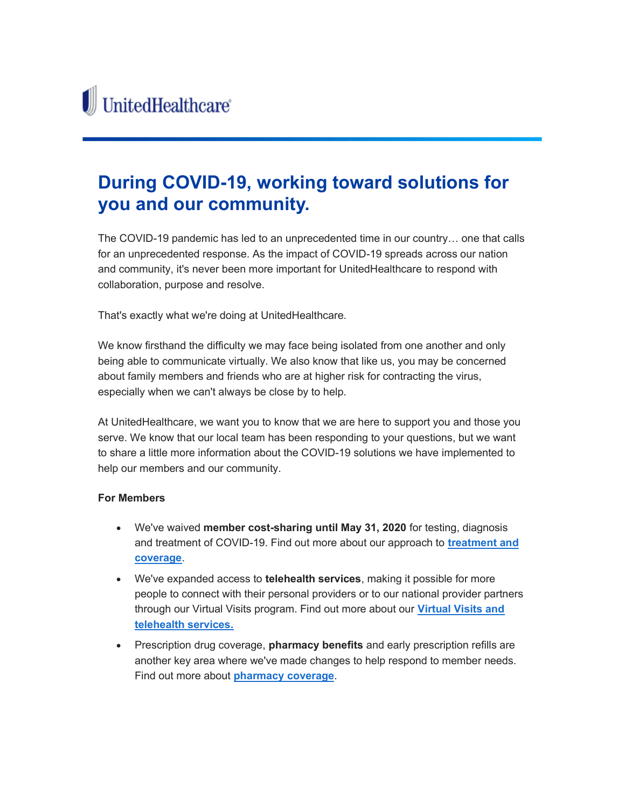## During COVID-19, working toward solutions for you and our community.

The COVID-19 pandemic has led to an unprecedented time in our country… one that calls for an unprecedented response. As the impact of COVID-19 spreads across our nation and community, it's never been more important for UnitedHealthcare to respond with collaboration, purpose and resolve.

That's exactly what we're doing at UnitedHealthcare.

We know firsthand the difficulty we may face being isolated from one another and only being able to communicate virtually. We also know that like us, you may be concerned about family members and friends who are at higher risk for contracting the virus, especially when we can't always be close by to help.

At UnitedHealthcare, we want you to know that we are here to support you and those you serve. We know that our local team has been responding to your questions, but we want to share a little more information about the COVID-19 solutions we have implemented to help our members and our community.

## For Members

- We've waived member cost-sharing until May 31, 2020 for testing, diagnosis and treatment of COVID-19. Find out more about our approach to treatment and coverage.
- We've expanded access to **telehealth services**, making it possible for more people to connect with their personal providers or to our national provider partners through our Virtual Visits program. Find out more about our Virtual Visits and telehealth services.
- Prescription drug coverage, **pharmacy benefits** and early prescription refills are another key area where we've made changes to help respond to member needs. Find out more about **pharmacy coverage**.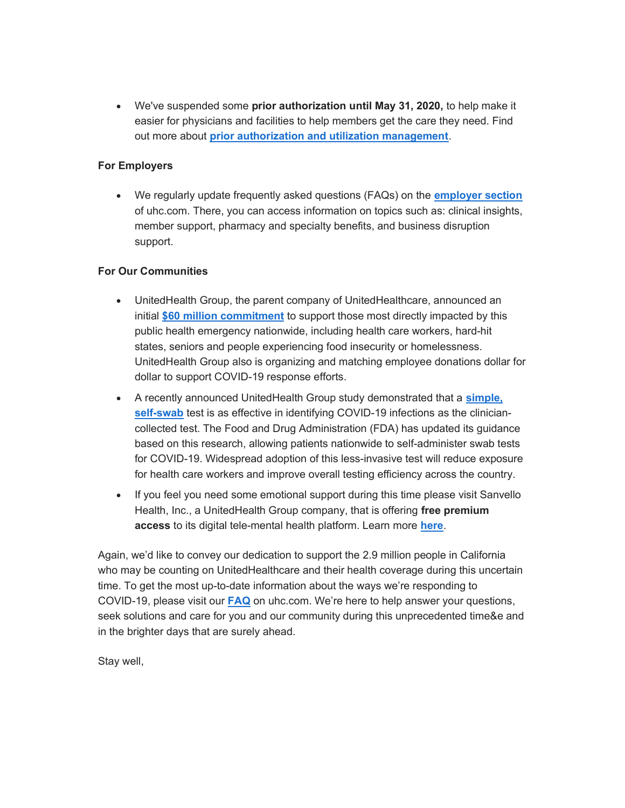We've suspended some prior authorization until May 31, 2020, to help make it easier for physicians and facilities to help members get the care they need. Find out more about prior authorization and utilization management.

## For Employers

• We regularly update frequently asked questions (FAQs) on the **employer section** of uhc.com. There, you can access information on topics such as: clinical insights, member support, pharmacy and specialty benefits, and business disruption support.

## For Our Communities

- UnitedHealth Group, the parent company of UnitedHealthcare, announced an initial \$60 million commitment to support those most directly impacted by this public health emergency nationwide, including health care workers, hard-hit states, seniors and people experiencing food insecurity or homelessness. UnitedHealth Group also is organizing and matching employee donations dollar for dollar to support COVID-19 response efforts.
- A recently announced UnitedHealth Group study demonstrated that a simple, self-swab test is as effective in identifying COVID-19 infections as the cliniciancollected test. The Food and Drug Administration (FDA) has updated its guidance based on this research, allowing patients nationwide to self-administer swab tests for COVID-19. Widespread adoption of this less-invasive test will reduce exposure for health care workers and improve overall testing efficiency across the country.
- If you feel you need some emotional support during this time please visit Sanvello Health, Inc., a UnitedHealth Group company, that is offering free premium access to its digital tele-mental health platform. Learn more here.

Again, we'd like to convey our dedication to support the 2.9 million people in California who may be counting on UnitedHealthcare and their health coverage during this uncertain time. To get the most up-to-date information about the ways we're responding to COVID-19, please visit our FAQ on uhc.com. We're here to help answer your questions, seek solutions and care for you and our community during this unprecedented time&e and in the brighter days that are surely ahead.

Stay well,